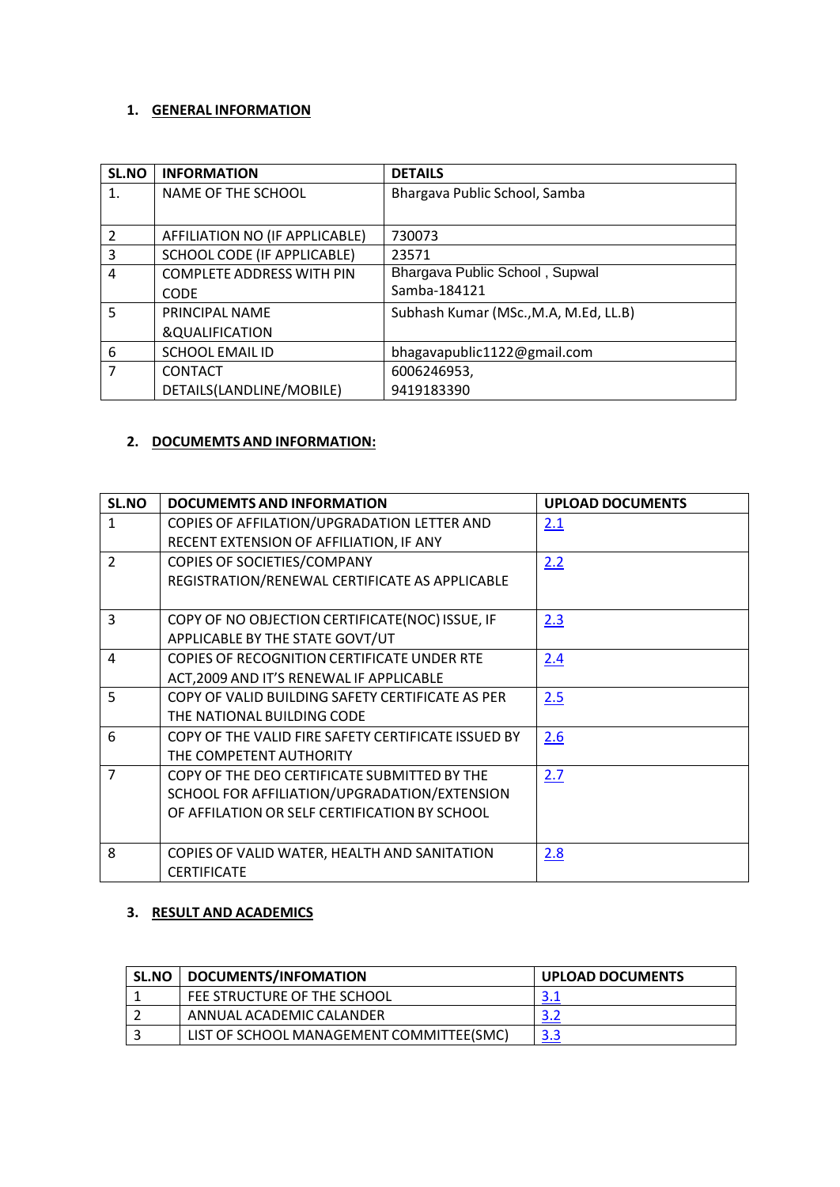### **1. GENERAL INFORMATION**

| <b>SL.NO</b>  | <b>INFORMATION</b>               | <b>DETAILS</b>                        |
|---------------|----------------------------------|---------------------------------------|
| 1.            | NAME OF THE SCHOOL               | Bhargava Public School, Samba         |
|               |                                  |                                       |
| $\mathcal{P}$ | AFFILIATION NO (IF APPLICABLE)   | 730073                                |
| 3             | SCHOOL CODE (IF APPLICABLE)      | 23571                                 |
| 4             | <b>COMPLETE ADDRESS WITH PIN</b> | Bhargava Public School, Supwal        |
|               | <b>CODE</b>                      | Samba-184121                          |
| 5             | PRINCIPAL NAME                   | Subhash Kumar (MSc., M.A, M.Ed, LL.B) |
|               | &QUALIFICATION                   |                                       |
| 6             | <b>SCHOOL EMAIL ID</b>           | bhagavapublic1122@gmail.com           |
| 7             | <b>CONTACT</b>                   | 6006246953,                           |
|               | DETAILS(LANDLINE/MOBILE)         | 9419183390                            |

# **2. DOCUMEMTS AND INFORMATION:**

| SL.NO          | <b>DOCUMEMTS AND INFORMATION</b>                    | <b>UPLOAD DOCUMENTS</b> |
|----------------|-----------------------------------------------------|-------------------------|
| $\mathbf{1}$   | COPIES OF AFFILATION/UPGRADATION LETTER AND         | 2.1                     |
|                | RECENT EXTENSION OF AFFILIATION, IF ANY             |                         |
| $\overline{2}$ | COPIES OF SOCIETIES/COMPANY                         | 2.2                     |
|                | REGISTRATION/RENEWAL CERTIFICATE AS APPLICABLE      |                         |
|                |                                                     |                         |
| 3              | COPY OF NO OBJECTION CERTIFICATE(NOC) ISSUE, IF     | 2.3                     |
|                | APPLICABLE BY THE STATE GOVT/UT                     |                         |
| $\overline{a}$ | COPIES OF RECOGNITION CERTIFICATE UNDER RTE         | 2.4                     |
|                | ACT, 2009 AND IT'S RENEWAL IF APPLICABLE            |                         |
| 5              | COPY OF VALID BUILDING SAFETY CERTIFICATE AS PER    | 2.5                     |
|                | THE NATIONAL BUILDING CODE                          |                         |
| 6              | COPY OF THE VALID FIRE SAFETY CERTIFICATE ISSUED BY | 2.6                     |
|                | THE COMPETENT AUTHORITY                             |                         |
| $\overline{7}$ | COPY OF THE DEO CERTIFICATE SUBMITTED BY THE        | 2.7                     |
|                | SCHOOL FOR AFFILIATION/UPGRADATION/EXTENSION        |                         |
|                | OF AFFILATION OR SELF CERTIFICATION BY SCHOOL       |                         |
|                |                                                     |                         |
| 8              | COPIES OF VALID WATER, HEALTH AND SANITATION        | 2.8                     |
|                | <b>CERTIFICATE</b>                                  |                         |

### **3. RESULT AND ACADEMICS**

| <b>SL.NO</b> | DOCUMENTS/INFOMATION                     | <b>UPLOAD DOCUMENTS</b> |
|--------------|------------------------------------------|-------------------------|
|              | FEE STRUCTURE OF THE SCHOOL              | 3.1                     |
|              | ANNUAL ACADEMIC CALANDER                 | 3.2                     |
|              | LIST OF SCHOOL MANAGEMENT COMMITTEE(SMC) | 3.3                     |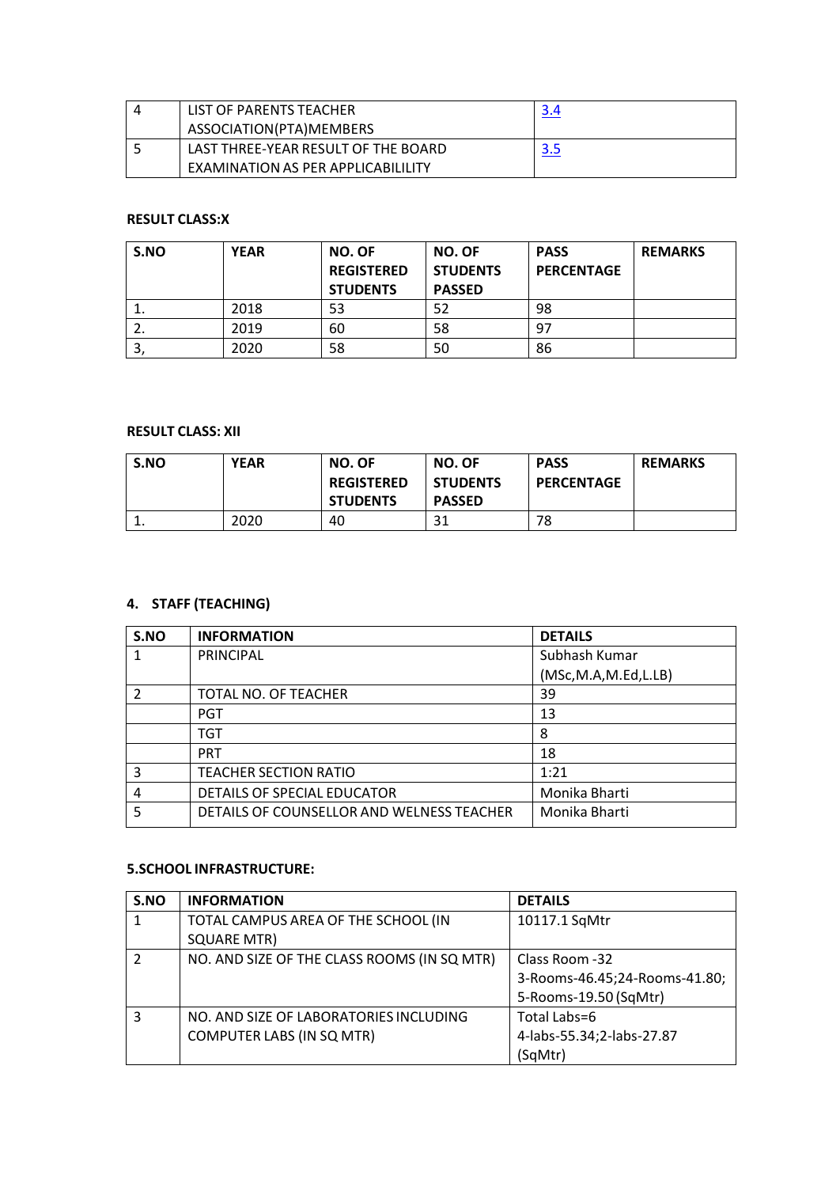| LIST OF PARENTS TEACHER             | 3.4 |
|-------------------------------------|-----|
| ASSOCIATION(PTA)MEMBERS             |     |
| LAST THREE-YEAR RESULT OF THE BOARD | 3.5 |
| EXAMINATION AS PER APPLICABILILITY  |     |

### **RESULT CLASS:X**

| S.NO     | <b>YEAR</b> | <b>NO. OF</b><br><b>REGISTERED</b><br><b>STUDENTS</b> | <b>NO. OF</b><br><b>STUDENTS</b><br><b>PASSED</b> | <b>PASS</b><br><b>PERCENTAGE</b> | <b>REMARKS</b> |
|----------|-------------|-------------------------------------------------------|---------------------------------------------------|----------------------------------|----------------|
| <b>.</b> | 2018        | 53                                                    | 52                                                | 98                               |                |
| z.       | 2019        | 60                                                    | 58                                                | 97                               |                |
| O.       | 2020        | 58                                                    | 50                                                | 86                               |                |

#### **RESULT CLASS: XII**

| S.NO     | <b>YEAR</b> | NO. OF<br><b>REGISTERED</b><br><b>STUDENTS</b> | <b>NO. OF</b><br><b>STUDENTS</b><br><b>PASSED</b> | <b>PASS</b><br><b>PERCENTAGE</b> | <b>REMARKS</b> |
|----------|-------------|------------------------------------------------|---------------------------------------------------|----------------------------------|----------------|
| <b>.</b> | 2020        | 40                                             | 31                                                | 78                               |                |

# **4. STAFF (TEACHING)**

| S.NO | <b>INFORMATION</b>                        | <b>DETAILS</b>         |
|------|-------------------------------------------|------------------------|
|      | PRINCIPAL                                 | Subhash Kumar          |
|      |                                           | (MSc, M.A, M.Ed, L.LB) |
|      | TOTAL NO. OF TEACHER                      | 39                     |
|      | <b>PGT</b>                                | 13                     |
|      | TGT                                       | 8                      |
|      | <b>PRT</b>                                | 18                     |
| 3    | TEACHER SECTION RATIO                     | 1:21                   |
| 4    | DETAILS OF SPECIAL EDUCATOR               | Monika Bharti          |
| 5    | DETAILS OF COUNSELLOR AND WELNESS TEACHER | Monika Bharti          |

#### **5.SCHOOL INFRASTRUCTURE:**

| S.NO           | <b>INFORMATION</b>                          | <b>DETAILS</b>                |
|----------------|---------------------------------------------|-------------------------------|
| $\mathbf{1}$   | TOTAL CAMPUS AREA OF THE SCHOOL (IN         | 10117.1 SqMtr                 |
|                | <b>SQUARE MTR)</b>                          |                               |
| $\overline{2}$ | NO. AND SIZE OF THE CLASS ROOMS (IN SQ MTR) | Class Room -32                |
|                |                                             | 3-Rooms-46.45;24-Rooms-41.80; |
|                |                                             | 5-Rooms-19.50 (SqMtr)         |
| $\overline{3}$ | NO. AND SIZE OF LABORATORIES INCLUDING      | Total Labs=6                  |
|                | COMPUTER LABS (IN SQ MTR)                   | 4-labs-55.34;2-labs-27.87     |
|                |                                             | (SqMtr)                       |